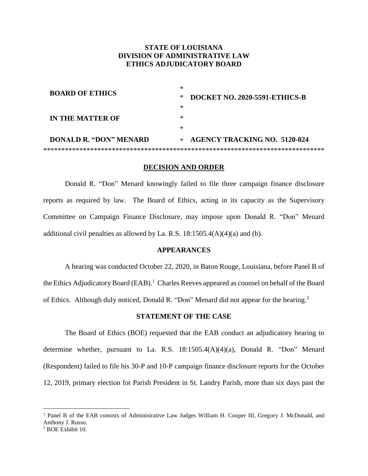# **STATE OF LOUISIANA DIVISION OF ADMINISTRATIVE LAW ETHICS ADJUDICATORY BOARD**

| <b>BOARD OF ETHICS</b>        | ∗                                       |  |
|-------------------------------|-----------------------------------------|--|
| <b>IN THE MATTER OF</b>       | DOCKET NO. 2020-5591-ETHICS-B<br>∗<br>∗ |  |
|                               | ∗                                       |  |
|                               | ∗                                       |  |
| <b>DONALD R. "DON" MENARD</b> | $*$ AGENCY TRACKING NO. 5120-024        |  |
|                               |                                         |  |

#### **DECISION AND ORDER**

Donald R. "Don" Menard knowingly failed to file three campaign finance disclosure reports as required by law*.* The Board of Ethics, acting in its capacity as the Supervisory Committee on Campaign Finance Disclosure, may impose upon Donald R. "Don" Menard additional civil penalties as allowed by La. R.S.  $18:1505.4(A)(4)(a)$  and (b).

## **APPEARANCES**

A hearing was conducted October 22, 2020, in Baton Rouge, Louisiana, before Panel B of the Ethics Adjudicatory Board (EAB).<sup>1</sup> Charles Reeves appeared as counsel on behalf of the Board of Ethics. Although duly noticed, Donald R. "Don" Menard did not appear for the hearing.<sup>2</sup>

#### **STATEMENT OF THE CASE**

The Board of Ethics (BOE) requested that the EAB conduct an adjudicatory hearing to determine whether, pursuant to La. R.S. 18:1505.4(A)(4)(a), Donald R. "Don" Menard (Respondent) failed to file his 30-P and 10-P campaign finance disclosure reports for the October 12, 2019, primary election for Parish President in St. Landry Parish, more than six days past the

<sup>&</sup>lt;sup>1</sup> Panel B of the EAB consists of Administrative Law Judges William H. Cooper III, Gregory J. McDonald, and Anthony J. Russo.

<sup>2</sup> BOE Exhibit 10.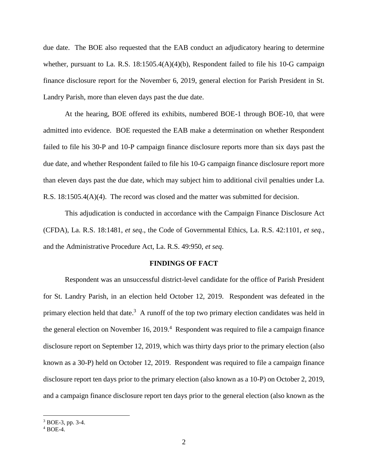due date. The BOE also requested that the EAB conduct an adjudicatory hearing to determine whether, pursuant to La. R.S. 18:1505.4(A)(4)(b), Respondent failed to file his 10-G campaign finance disclosure report for the November 6, 2019, general election for Parish President in St. Landry Parish, more than eleven days past the due date.

At the hearing, BOE offered its exhibits, numbered BOE-1 through BOE-10, that were admitted into evidence. BOE requested the EAB make a determination on whether Respondent failed to file his 30-P and 10-P campaign finance disclosure reports more than six days past the due date, and whether Respondent failed to file his 10-G campaign finance disclosure report more than eleven days past the due date, which may subject him to additional civil penalties under La. R.S. 18:1505.4(A)(4). The record was closed and the matter was submitted for decision.

This adjudication is conducted in accordance with the Campaign Finance Disclosure Act (CFDA), La. R.S. 18:1481, *et seq*., the Code of Governmental Ethics, La. R.S. 42:1101, *et seq.*, and the Administrative Procedure Act, La. R.S. 49:950, *et seq*.

## **FINDINGS OF FACT**

Respondent was an unsuccessful district-level candidate for the office of Parish President for St. Landry Parish, in an election held October 12, 2019. Respondent was defeated in the primary election held that date.<sup>3</sup> A runoff of the top two primary election candidates was held in the general election on November 16, 2019.<sup>4</sup> Respondent was required to file a campaign finance disclosure report on September 12, 2019, which was thirty days prior to the primary election (also known as a 30-P) held on October 12, 2019. Respondent was required to file a campaign finance disclosure report ten days prior to the primary election (also known as a 10-P) on October 2, 2019, and a campaign finance disclosure report ten days prior to the general election (also known as the

<sup>3</sup> BOE-3, pp. 3-4.

<sup>4</sup> BOE-4.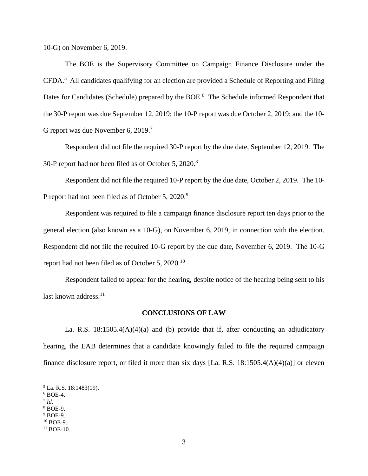10-G) on November 6, 2019.

The BOE is the Supervisory Committee on Campaign Finance Disclosure under the CFDA.<sup>5</sup> All candidates qualifying for an election are provided a Schedule of Reporting and Filing Dates for Candidates (Schedule) prepared by the BOE.<sup>6</sup> The Schedule informed Respondent that the 30-P report was due September 12, 2019; the 10-P report was due October 2, 2019; and the 10- G report was due November 6, 2019.<sup>7</sup>

Respondent did not file the required 30-P report by the due date, September 12, 2019. The 30-P report had not been filed as of October 5, 2020.<sup>8</sup>

Respondent did not file the required 10-P report by the due date, October 2, 2019. The 10- P report had not been filed as of October 5, 2020.<sup>9</sup>

Respondent was required to file a campaign finance disclosure report ten days prior to the general election (also known as a 10-G), on November 6, 2019, in connection with the election. Respondent did not file the required 10-G report by the due date, November 6, 2019. The 10-G report had not been filed as of October 5, 2020.<sup>10</sup>

Respondent failed to appear for the hearing, despite notice of the hearing being sent to his last known address.<sup>11</sup>

### **CONCLUSIONS OF LAW**

La. R.S. 18:1505.4(A)(4)(a) and (b) provide that if, after conducting an adjudicatory hearing, the EAB determines that a candidate knowingly failed to file the required campaign finance disclosure report, or filed it more than six days [La. R.S. 18:1505.4(A)(4)(a)] or eleven

<sup>5</sup> La. R.S. 18:1483(19).

 $6$  BOE-4.

<sup>7</sup> *Id.*

<sup>8</sup> BOE-9.

<sup>9</sup> BOE-9.  $10$  BOE-9.

<sup>&</sup>lt;sup>11</sup> BOE-10.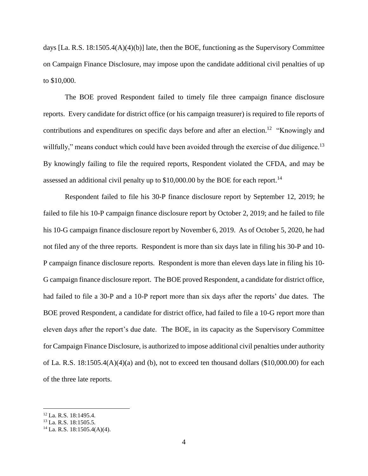days [La. R.S. 18:1505.4(A)(4)(b)] late, then the BOE, functioning as the Supervisory Committee on Campaign Finance Disclosure, may impose upon the candidate additional civil penalties of up to \$10,000.

The BOE proved Respondent failed to timely file three campaign finance disclosure reports. Every candidate for district office (or his campaign treasurer) is required to file reports of contributions and expenditures on specific days before and after an election.<sup>12</sup> "Knowingly and willfully," means conduct which could have been avoided through the exercise of due diligence.<sup>13</sup> By knowingly failing to file the required reports, Respondent violated the CFDA, and may be assessed an additional civil penalty up to  $$10,000.00$  by the BOE for each report.<sup>14</sup>

Respondent failed to file his 30-P finance disclosure report by September 12, 2019; he failed to file his 10-P campaign finance disclosure report by October 2, 2019; and he failed to file his 10-G campaign finance disclosure report by November 6, 2019. As of October 5, 2020, he had not filed any of the three reports. Respondent is more than six days late in filing his 30-P and 10- P campaign finance disclosure reports. Respondent is more than eleven days late in filing his 10- G campaign finance disclosure report. The BOE proved Respondent, a candidate for district office, had failed to file a 30-P and a 10-P report more than six days after the reports' due dates. The BOE proved Respondent, a candidate for district office, had failed to file a 10-G report more than eleven days after the report's due date. The BOE, in its capacity as the Supervisory Committee for Campaign Finance Disclosure, is authorized to impose additional civil penalties under authority of La. R.S. 18:1505.4(A)(4)(a) and (b), not to exceed ten thousand dollars (\$10,000.00) for each of the three late reports.

<sup>12</sup> La. R.S. 18:1495.4.

<sup>13</sup> La. R.S. 18:1505.5.

<sup>14</sup> La. R.S. 18:1505.4(A)(4).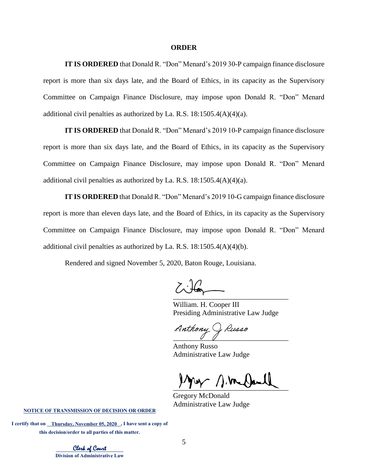#### **ORDER**

**IT IS ORDERED** that Donald R. "Don" Menard's 2019 30-P campaign finance disclosure report is more than six days late, and the Board of Ethics, in its capacity as the Supervisory Committee on Campaign Finance Disclosure, may impose upon Donald R. "Don" Menard additional civil penalties as authorized by La. R.S.  $18:1505.4(A)(4)(a)$ .

**IT IS ORDERED** that Donald R. "Don" Menard's 2019 10-P campaign finance disclosure report is more than six days late, and the Board of Ethics, in its capacity as the Supervisory Committee on Campaign Finance Disclosure, may impose upon Donald R. "Don" Menard additional civil penalties as authorized by La. R.S.  $18:1505.4(A)(4)(a)$ .

**IT IS ORDERED** that Donald R. "Don" Menard's 2019 10-G campaign finance disclosure report is more than eleven days late, and the Board of Ethics, in its capacity as the Supervisory Committee on Campaign Finance Disclosure, may impose upon Donald R. "Don" Menard additional civil penalties as authorized by La. R.S.  $18:1505.4(A)(4)(b)$ .

Rendered and signed November 5, 2020, Baton Rouge, Louisiana.

 $\overline{\phantom{a}}$  ,  $\overline{\phantom{a}}$  ,  $\overline{\phantom{a}}$  ,  $\overline{\phantom{a}}$  ,  $\overline{\phantom{a}}$  ,  $\overline{\phantom{a}}$  ,  $\overline{\phantom{a}}$  ,  $\overline{\phantom{a}}$  ,  $\overline{\phantom{a}}$  ,  $\overline{\phantom{a}}$  ,  $\overline{\phantom{a}}$  ,  $\overline{\phantom{a}}$  ,  $\overline{\phantom{a}}$  ,  $\overline{\phantom{a}}$  ,  $\overline{\phantom{a}}$  ,  $\overline{\phantom{a}}$  $\zeta$ 

William. H. Cooper III Presiding Administrative Law Judge

Anthony J Russo

Anthony Russo Administrative Law Judge

 $\frac{1}{\sqrt{2}}$ 

Gregory McDonald Administrative Law Judge

**NOTICE OF TRANSMISSION OF DECISION OR ORDER**

I certify that on **\_\_\_\_Thursday, November 05, 2020**, I have sent a copy of **this decision/order to all parties of this matter.** 

Clerk of Court **Division of Administrative Law**